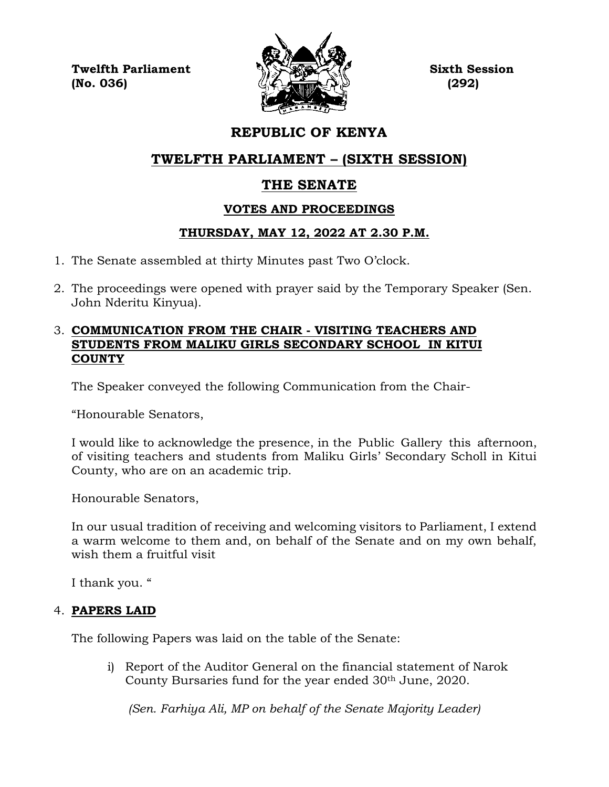**Twelfth Parliament Sixth Session (No. 036) (292)**



# **REPUBLIC OF KENYA**

# **TWELFTH PARLIAMENT – (SIXTH SESSION)**

# **THE SENATE**

# **VOTES AND PROCEEDINGS**

# **THURSDAY, MAY 12, 2022 AT 2.30 P.M.**

- 1. The Senate assembled at thirty Minutes past Two O'clock.
- 2. The proceedings were opened with prayer said by the Temporary Speaker (Sen. John Nderitu Kinyua).

# 3. **COMMUNICATION FROM THE CHAIR - VISITING TEACHERS AND STUDENTS FROM MALIKU GIRLS SECONDARY SCHOOL IN KITUI COUNTY**

The Speaker conveyed the following Communication from the Chair-

"Honourable Senators,

I would like to acknowledge the presence, in the Public Gallery this afternoon, of visiting teachers and students from Maliku Girls' Secondary Scholl in Kitui County, who are on an academic trip.

Honourable Senators,

In our usual tradition of receiving and welcoming visitors to Parliament, I extend a warm welcome to them and, on behalf of the Senate and on my own behalf, wish them a fruitful visit

I thank you. "

# 4. **PAPERS LAID**

The following Papers was laid on the table of the Senate:

i) Report of the Auditor General on the financial statement of Narok County Bursaries fund for the year ended 30<sup>th</sup> June, 2020.

*(Sen. Farhiya Ali, MP on behalf of the Senate Majority Leader)*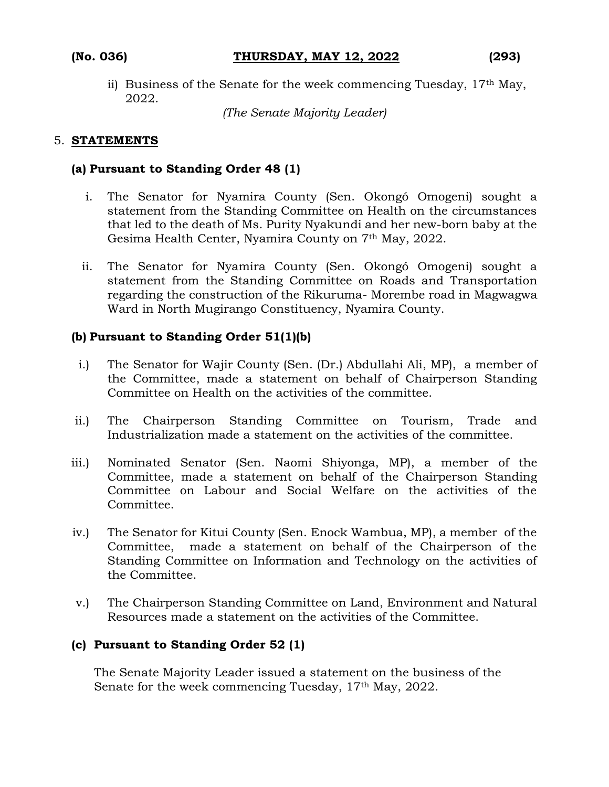ii) Business of the Senate for the week commencing Tuesday, 17th May, 2022.

*(The Senate Majority Leader)*

### 5. **STATEMENTS**

#### **(a) Pursuant to Standing Order 48 (1)**

- i. The Senator for Nyamira County (Sen. Okongó Omogeni) sought a statement from the Standing Committee on Health on the circumstances that led to the death of Ms. Purity Nyakundi and her new-born baby at the Gesima Health Center, Nyamira County on 7th May, 2022.
- ii. The Senator for Nyamira County (Sen. Okongó Omogeni) sought a statement from the Standing Committee on Roads and Transportation regarding the construction of the Rikuruma- Morembe road in Magwagwa Ward in North Mugirango Constituency, Nyamira County.

### **(b) Pursuant to Standing Order 51(1)(b)**

- i.) The Senator for Wajir County (Sen. (Dr.) Abdullahi Ali, MP), a member of the Committee, made a statement on behalf of Chairperson Standing Committee on Health on the activities of the committee.
- ii.) The Chairperson Standing Committee on Tourism, Trade and Industrialization made a statement on the activities of the committee.
- iii.) Nominated Senator (Sen. Naomi Shiyonga, MP), a member of the Committee, made a statement on behalf of the Chairperson Standing Committee on Labour and Social Welfare on the activities of the Committee.
- iv.) The Senator for Kitui County (Sen. Enock Wambua, MP), a member of the Committee, made a statement on behalf of the Chairperson of the Standing Committee on Information and Technology on the activities of the Committee.
- v.) The Chairperson Standing Committee on Land, Environment and Natural Resources made a statement on the activities of the Committee.

### **(c) Pursuant to Standing Order 52 (1)**

The Senate Majority Leader issued a statement on the business of the Senate for the week commencing Tuesday, 17<sup>th</sup> May, 2022.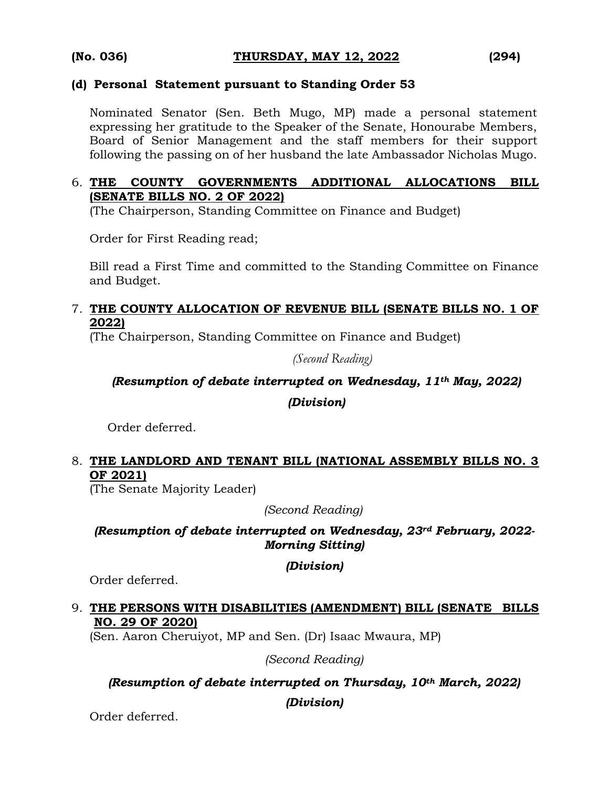### **(d) Personal Statement pursuant to Standing Order 53**

Nominated Senator (Sen. Beth Mugo, MP) made a personal statement expressing her gratitude to the Speaker of the Senate, Honourabe Members, Board of Senior Management and the staff members for their support following the passing on of her husband the late Ambassador Nicholas Mugo.

# 6. **THE COUNTY GOVERNMENTS ADDITIONAL ALLOCATIONS BILL (SENATE BILLS NO. 2 OF 2022)**

(The Chairperson, Standing Committee on Finance and Budget)

Order for First Reading read;

Bill read a First Time and committed to the Standing Committee on Finance and Budget.

### 7. **THE COUNTY ALLOCATION OF REVENUE BILL (SENATE BILLS NO. 1 OF 2022)**

(The Chairperson, Standing Committee on Finance and Budget)

*(Second Reading)*

# *(Resumption of debate interrupted on Wednesday, 11th May, 2022)*

*(Division)*

Order deferred.

# 8. **THE LANDLORD AND TENANT BILL (NATIONAL ASSEMBLY BILLS NO. 3 OF 2021)**

(The Senate Majority Leader)

*(Second Reading)*

*(Resumption of debate interrupted on Wednesday, 23rd February, 2022- Morning Sitting)*

### *(Division)*

Order deferred.

# 9. **THE PERSONS WITH DISABILITIES (AMENDMENT) BILL (SENATE BILLS NO. 29 OF 2020)**

(Sen. Aaron Cheruiyot, MP and Sen. (Dr) Isaac Mwaura, MP)

*(Second Reading)*

### *(Resumption of debate interrupted on Thursday, 10th March, 2022)*

*(Division)*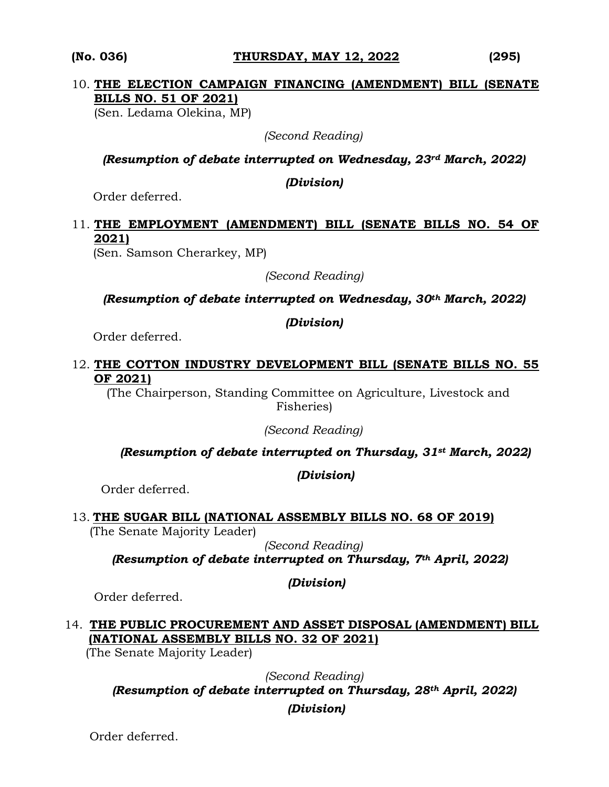#### **(No. 036) THURSDAY, MAY 12, 2022 (295)**

# 10. **THE ELECTION CAMPAIGN FINANCING (AMENDMENT) BILL (SENATE BILLS NO. 51 OF 2021)**

(Sen. Ledama Olekina, MP)

*(Second Reading)*

*(Resumption of debate interrupted on Wednesday, 23rd March, 2022)*

*(Division)*

Order deferred.

# 11. **THE EMPLOYMENT (AMENDMENT) BILL (SENATE BILLS NO. 54 OF 2021)**

(Sen. Samson Cherarkey, MP)

*(Second Reading)*

*(Resumption of debate interrupted on Wednesday, 30th March, 2022)* 

*(Division)*

Order deferred.

### 12. **THE COTTON INDUSTRY DEVELOPMENT BILL (SENATE BILLS NO. 55 OF 2021)**

 (The Chairperson, Standing Committee on Agriculture, Livestock and Fisheries)

*(Second Reading)*

*(Resumption of debate interrupted on Thursday, 31st March, 2022)*

*(Division)*

Order deferred.

# 13. **THE SUGAR BILL (NATIONAL ASSEMBLY BILLS NO. 68 OF 2019)**

(The Senate Majority Leader)

*(Second Reading) (Resumption of debate interrupted on Thursday, 7th April, 2022)*

*(Division)*

Order deferred.

# 14. **THE PUBLIC PROCUREMENT AND ASSET DISPOSAL (AMENDMENT) BILL (NATIONAL ASSEMBLY BILLS NO. 32 OF 2021)**

(The Senate Majority Leader)

*(Second Reading) (Resumption of debate interrupted on Thursday, 28th April, 2022)* 

*(Division)*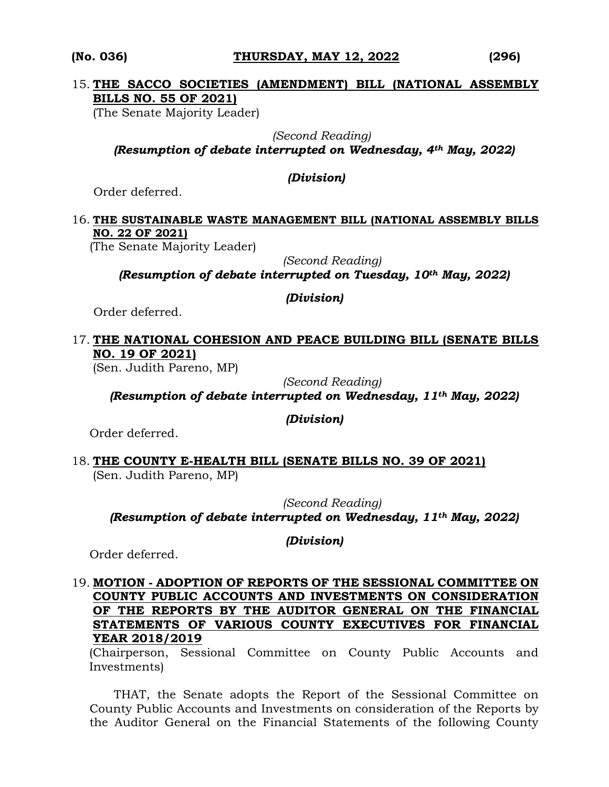#### **(No. 036) THURSDAY, MAY 12, 2022 (296)**

### 15. **THE SACCO SOCIETIES (AMENDMENT) BILL (NATIONAL ASSEMBLY BILLS NO. 55 OF 2021)**

(The Senate Majority Leader)

 *(Second Reading)*

*(Resumption of debate interrupted on Wednesday, 4th May, 2022)* 

### *(Division)*

Order deferred.

### 16. **THE SUSTAINABLE WASTE MANAGEMENT BILL (NATIONAL ASSEMBLY BILLS NO. 22 OF 2021)**

(The Senate Majority Leader)

*(Second Reading)*

*(Resumption of debate interrupted on Tuesday, 10th May, 2022)*

### *(Division)*

Order deferred.

### 17. **THE NATIONAL COHESION AND PEACE BUILDING BILL (SENATE BILLS NO. 19 OF 2021)**

(Sen. Judith Pareno, MP)

*(Second Reading)*

*(Resumption of debate interrupted on Wednesday, 11th May, 2022)*

*(Division)*

Order deferred.

18. **THE COUNTY E-HEALTH BILL (SENATE BILLS NO. 39 OF 2021)**  (Sen. Judith Pareno, MP)

*(Second Reading) (Resumption of debate interrupted on Wednesday, 11th May, 2022)*

*(Division)*

Order deferred.

### 19. **MOTION - ADOPTION OF REPORTS OF THE SESSIONAL COMMITTEE ON COUNTY PUBLIC ACCOUNTS AND INVESTMENTS ON CONSIDERATION OF THE REPORTS BY THE AUDITOR GENERAL ON THE FINANCIAL STATEMENTS OF VARIOUS COUNTY EXECUTIVES FOR FINANCIAL YEAR 2018/2019**

(Chairperson, Sessional Committee on County Public Accounts and Investments)

THAT, the Senate adopts the Report of the Sessional Committee on County Public Accounts and Investments on consideration of the Reports by the Auditor General on the Financial Statements of the following County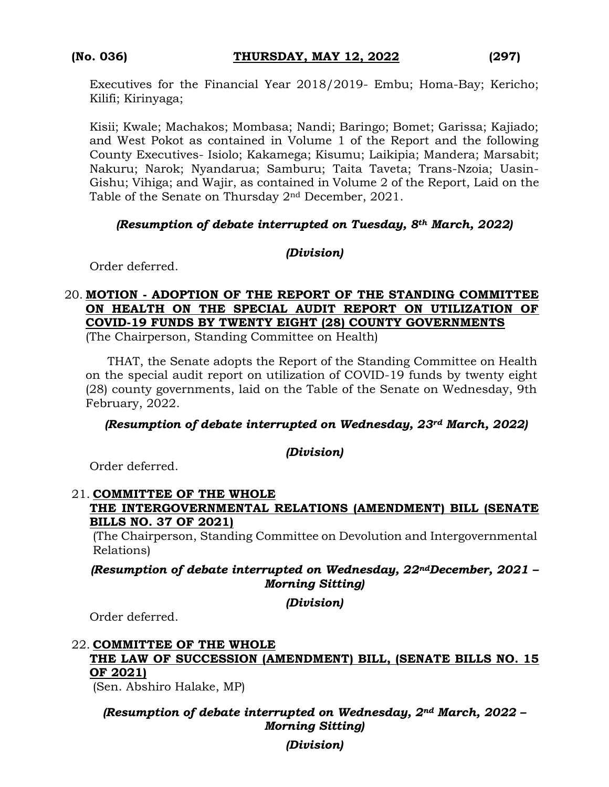Executives for the Financial Year 2018/2019- Embu; Homa-Bay; Kericho; Kilifi; Kirinyaga;

Kisii; Kwale; Machakos; Mombasa; Nandi; Baringo; Bomet; Garissa; Kajiado; and West Pokot as contained in Volume 1 of the Report and the following County Executives- Isiolo; Kakamega; Kisumu; Laikipia; Mandera; Marsabit; Nakuru; Narok; Nyandarua; Samburu; Taita Taveta; Trans-Nzoia; Uasin-Gishu; Vihiga; and Wajir, as contained in Volume 2 of the Report, Laid on the Table of the Senate on Thursday  $2<sup>nd</sup>$  December, 2021.

# *(Resumption of debate interrupted on Tuesday, 8th March, 2022)*

### *(Division)*

Order deferred.

# 20. **MOTION - ADOPTION OF THE REPORT OF THE STANDING COMMITTEE ON HEALTH ON THE SPECIAL AUDIT REPORT ON UTILIZATION OF COVID-19 FUNDS BY TWENTY EIGHT (28) COUNTY GOVERNMENTS**

(The Chairperson, Standing Committee on Health)

THAT, the Senate adopts the Report of the Standing Committee on Health on the special audit report on utilization of COVID-19 funds by twenty eight (28) county governments, laid on the Table of the Senate on Wednesday, 9th February, 2022.

### *(Resumption of debate interrupted on Wednesday, 23rd March, 2022)*

### *(Division)*

Order deferred.

### 21. **COMMITTEE OF THE WHOLE THE INTERGOVERNMENTAL RELATIONS (AMENDMENT) BILL (SENATE BILLS NO. 37 OF 2021)**

(The Chairperson, Standing Committee on Devolution and Intergovernmental Relations)

# *(Resumption of debate interrupted on Wednesday, 22ndDecember, 2021 – Morning Sitting)*

*(Division)*

Order deferred.

### 22. **COMMITTEE OF THE WHOLE THE LAW OF SUCCESSION (AMENDMENT) BILL, (SENATE BILLS NO. 15 OF 2021)**

(Sen. Abshiro Halake, MP)

# *(Resumption of debate interrupted on Wednesday, 2nd March, 2022 – Morning Sitting)*

*(Division)*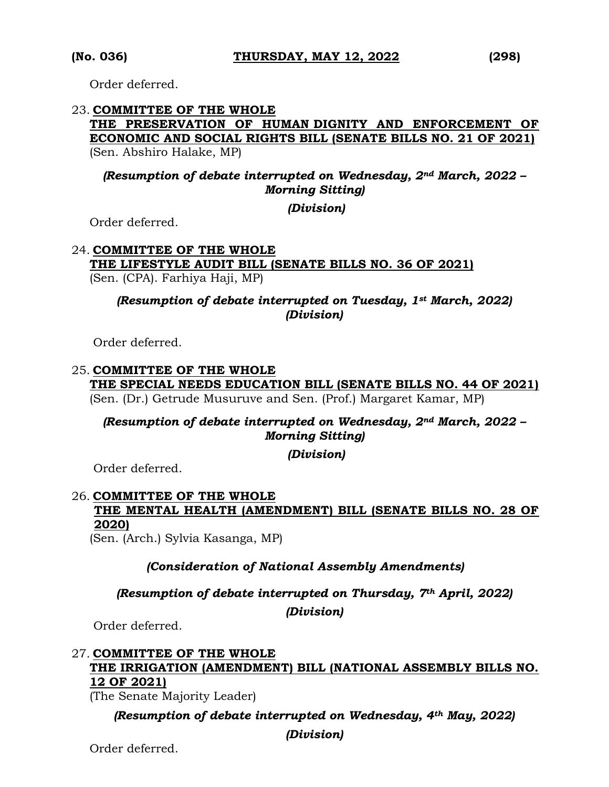Order deferred.

### 23. **COMMITTEE OF THE WHOLE**

### **THE PRESERVATION OF HUMAN DIGNITY AND ENFORCEMENT OF ECONOMIC AND SOCIAL RIGHTS BILL (SENATE BILLS NO. 21 OF 2021)**  (Sen. Abshiro Halake, MP)

### *(Resumption of debate interrupted on Wednesday, 2nd March, 2022 – Morning Sitting)*

*(Division)*

Order deferred.

#### 24. **COMMITTEE OF THE WHOLE**

### **THE LIFESTYLE AUDIT BILL (SENATE BILLS NO. 36 OF 2021)**  (Sen. (CPA). Farhiya Haji, MP)

### *(Resumption of debate interrupted on Tuesday, 1st March, 2022) (Division)*

Order deferred.

# 25. **COMMITTEE OF THE WHOLE THE SPECIAL NEEDS EDUCATION BILL (SENATE BILLS NO. 44 OF 2021)**

(Sen. (Dr.) Getrude Musuruve and Sen. (Prof.) Margaret Kamar, MP)

# *(Resumption of debate interrupted on Wednesday, 2nd March, 2022 – Morning Sitting)*

*(Division)*

Order deferred.

# 26. **COMMITTEE OF THE WHOLE THE MENTAL HEALTH (AMENDMENT) BILL (SENATE BILLS NO. 28 OF 2020)**

(Sen. (Arch.) Sylvia Kasanga, MP)

### *(Consideration of National Assembly Amendments)*

### *(Resumption of debate interrupted on Thursday, 7th April, 2022)*

*(Division)*

Order deferred.

### 27. **COMMITTEE OF THE WHOLE THE IRRIGATION (AMENDMENT) BILL (NATIONAL ASSEMBLY BILLS NO. 12 OF 2021)**

(The Senate Majority Leader)

### *(Resumption of debate interrupted on Wednesday, 4th May, 2022)*

*(Division)*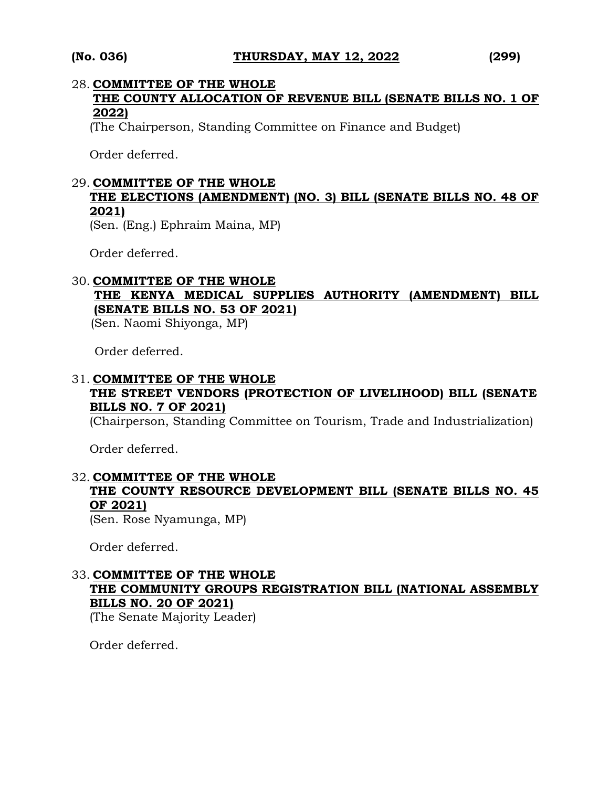#### 28. **COMMITTEE OF THE WHOLE**

**THE COUNTY ALLOCATION OF REVENUE BILL (SENATE BILLS NO. 1 OF 2022)**

(The Chairperson, Standing Committee on Finance and Budget)

Order deferred.

### 29. **COMMITTEE OF THE WHOLE**

# **THE ELECTIONS (AMENDMENT) (NO. 3) BILL (SENATE BILLS NO. 48 OF 2021)**

(Sen. (Eng.) Ephraim Maina, MP)

Order deferred.

### 30. **COMMITTEE OF THE WHOLE THE KENYA MEDICAL SUPPLIES AUTHORITY (AMENDMENT) BILL (SENATE BILLS NO. 53 OF 2021)**

(Sen. Naomi Shiyonga, MP)

Order deferred.

# 31. **COMMITTEE OF THE WHOLE THE STREET VENDORS (PROTECTION OF LIVELIHOOD) BILL (SENATE BILLS NO. 7 OF 2021)**

(Chairperson, Standing Committee on Tourism, Trade and Industrialization)

Order deferred.

### 32. **COMMITTEE OF THE WHOLE THE COUNTY RESOURCE DEVELOPMENT BILL (SENATE BILLS NO. 45 OF 2021)**

(Sen. Rose Nyamunga, MP)

Order deferred.

### 33. **COMMITTEE OF THE WHOLE THE COMMUNITY GROUPS REGISTRATION BILL (NATIONAL ASSEMBLY BILLS NO. 20 OF 2021)**

(The Senate Majority Leader)